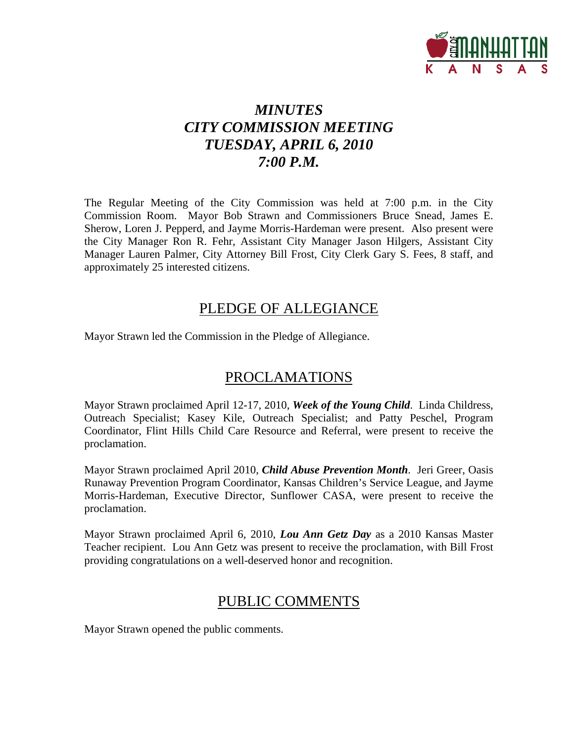

# *MINUTES CITY COMMISSION MEETING TUESDAY, APRIL 6, 2010 7:00 P.M.*

The Regular Meeting of the City Commission was held at 7:00 p.m. in the City Commission Room. Mayor Bob Strawn and Commissioners Bruce Snead, James E. Sherow, Loren J. Pepperd, and Jayme Morris-Hardeman were present. Also present were the City Manager Ron R. Fehr, Assistant City Manager Jason Hilgers, Assistant City Manager Lauren Palmer, City Attorney Bill Frost, City Clerk Gary S. Fees, 8 staff, and approximately 25 interested citizens.

### PLEDGE OF ALLEGIANCE

Mayor Strawn led the Commission in the Pledge of Allegiance.

# PROCLAMATIONS

Mayor Strawn proclaimed April 12-17, 2010, *Week of the Young Child*. Linda Childress, Outreach Specialist; Kasey Kile, Outreach Specialist; and Patty Peschel, Program Coordinator, Flint Hills Child Care Resource and Referral, were present to receive the proclamation.

Mayor Strawn proclaimed April 2010, *Child Abuse Prevention Month*. Jeri Greer, Oasis Runaway Prevention Program Coordinator, Kansas Children's Service League, and Jayme Morris-Hardeman, Executive Director, Sunflower CASA, were present to receive the proclamation.

Mayor Strawn proclaimed April 6, 2010, *Lou Ann Getz Day* as a 2010 Kansas Master Teacher recipient. Lou Ann Getz was present to receive the proclamation, with Bill Frost providing congratulations on a well-deserved honor and recognition.

# PUBLIC COMMENTS

Mayor Strawn opened the public comments.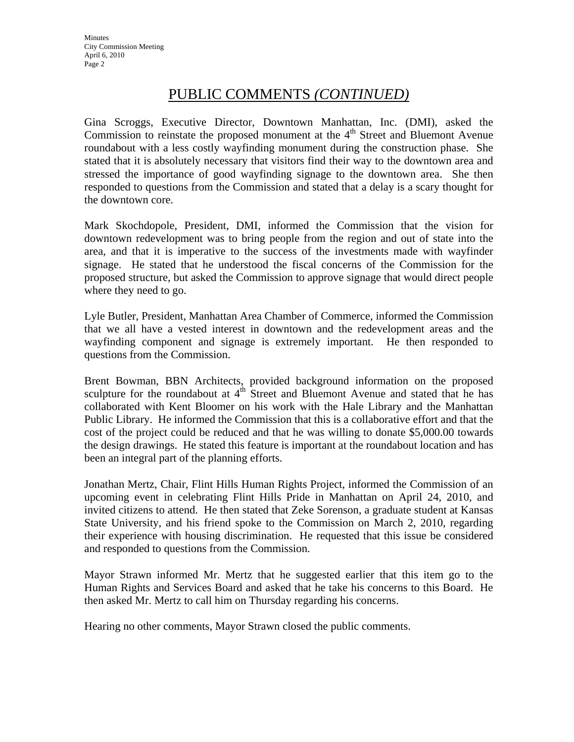### PUBLIC COMMENTS *(CONTINUED)*

Gina Scroggs, Executive Director, Downtown Manhattan, Inc. (DMI), asked the Commission to reinstate the proposed monument at the  $4<sup>th</sup>$  Street and Bluemont Avenue roundabout with a less costly wayfinding monument during the construction phase. She stated that it is absolutely necessary that visitors find their way to the downtown area and stressed the importance of good wayfinding signage to the downtown area. She then responded to questions from the Commission and stated that a delay is a scary thought for the downtown core.

Mark Skochdopole, President, DMI, informed the Commission that the vision for downtown redevelopment was to bring people from the region and out of state into the area, and that it is imperative to the success of the investments made with wayfinder signage. He stated that he understood the fiscal concerns of the Commission for the proposed structure, but asked the Commission to approve signage that would direct people where they need to go.

Lyle Butler, President, Manhattan Area Chamber of Commerce, informed the Commission that we all have a vested interest in downtown and the redevelopment areas and the wayfinding component and signage is extremely important. He then responded to questions from the Commission.

Brent Bowman, BBN Architects, provided background information on the proposed sculpture for the roundabout at  $4<sup>th</sup>$  Street and Bluemont Avenue and stated that he has collaborated with Kent Bloomer on his work with the Hale Library and the Manhattan Public Library. He informed the Commission that this is a collaborative effort and that the cost of the project could be reduced and that he was willing to donate \$5,000.00 towards the design drawings. He stated this feature is important at the roundabout location and has been an integral part of the planning efforts.

Jonathan Mertz, Chair, Flint Hills Human Rights Project, informed the Commission of an upcoming event in celebrating Flint Hills Pride in Manhattan on April 24, 2010, and invited citizens to attend. He then stated that Zeke Sorenson, a graduate student at Kansas State University, and his friend spoke to the Commission on March 2, 2010, regarding their experience with housing discrimination. He requested that this issue be considered and responded to questions from the Commission.

Mayor Strawn informed Mr. Mertz that he suggested earlier that this item go to the Human Rights and Services Board and asked that he take his concerns to this Board. He then asked Mr. Mertz to call him on Thursday regarding his concerns.

Hearing no other comments, Mayor Strawn closed the public comments.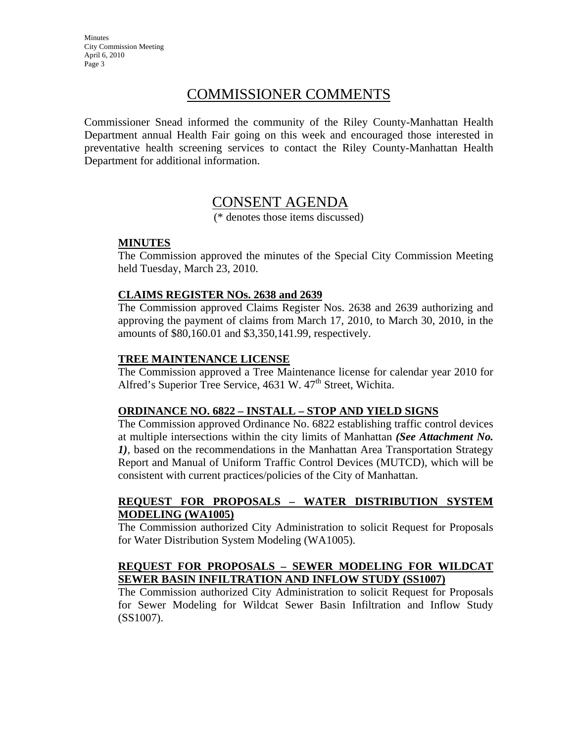Minutes City Commission Meeting April 6, 2010 Page 3

### COMMISSIONER COMMENTS

Commissioner Snead informed the community of the Riley County-Manhattan Health Department annual Health Fair going on this week and encouraged those interested in preventative health screening services to contact the Riley County-Manhattan Health Department for additional information.

### CONSENT AGENDA

(\* denotes those items discussed)

### **MINUTES**

The Commission approved the minutes of the Special City Commission Meeting held Tuesday, March 23, 2010.

### **CLAIMS REGISTER NOs. 2638 and 2639**

The Commission approved Claims Register Nos. 2638 and 2639 authorizing and approving the payment of claims from March 17, 2010, to March 30, 2010, in the amounts of \$80,160.01 and \$3,350,141.99, respectively.

#### **TREE MAINTENANCE LICENSE**

The Commission approved a Tree Maintenance license for calendar year 2010 for Alfred's Superior Tree Service,  $4631$  W.  $47<sup>th</sup>$  Street, Wichita.

#### **ORDINANCE NO. 6822 – INSTALL – STOP AND YIELD SIGNS**

The Commission approved Ordinance No. 6822 establishing traffic control devices at multiple intersections within the city limits of Manhattan *(See Attachment No. 1)*, based on the recommendations in the Manhattan Area Transportation Strategy Report and Manual of Uniform Traffic Control Devices (MUTCD), which will be consistent with current practices/policies of the City of Manhattan.

#### **REQUEST FOR PROPOSALS – WATER DISTRIBUTION SYSTEM MODELING (WA1005)**

The Commission authorized City Administration to solicit Request for Proposals for Water Distribution System Modeling (WA1005).

#### **REQUEST FOR PROPOSALS – SEWER MODELING FOR WILDCAT SEWER BASIN INFILTRATION AND INFLOW STUDY (SS1007)**

The Commission authorized City Administration to solicit Request for Proposals for Sewer Modeling for Wildcat Sewer Basin Infiltration and Inflow Study (SS1007).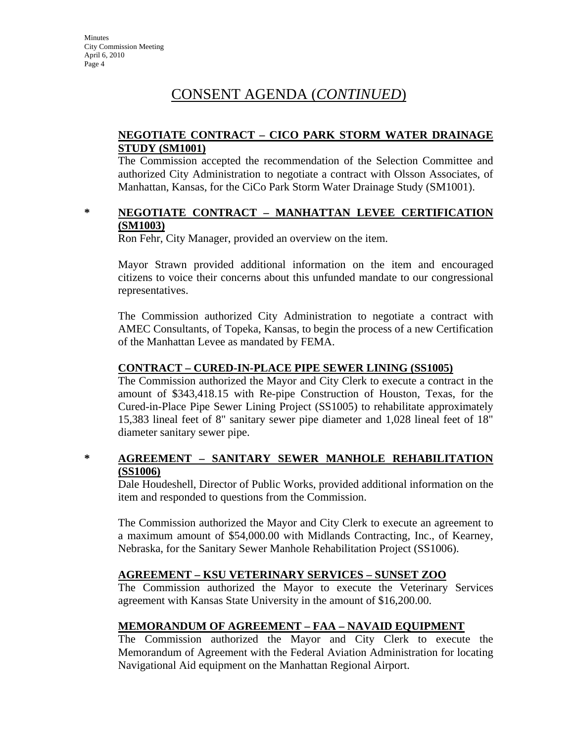# CONSENT AGENDA (*CONTINUED*)

#### **NEGOTIATE CONTRACT – CICO PARK STORM WATER DRAINAGE STUDY (SM1001)**

The Commission accepted the recommendation of the Selection Committee and authorized City Administration to negotiate a contract with Olsson Associates, of Manhattan, Kansas, for the CiCo Park Storm Water Drainage Study (SM1001).

#### **\* NEGOTIATE CONTRACT – MANHATTAN LEVEE CERTIFICATION (SM1003)**

Ron Fehr, City Manager, provided an overview on the item.

Mayor Strawn provided additional information on the item and encouraged citizens to voice their concerns about this unfunded mandate to our congressional representatives.

The Commission authorized City Administration to negotiate a contract with AMEC Consultants, of Topeka, Kansas, to begin the process of a new Certification of the Manhattan Levee as mandated by FEMA.

### **CONTRACT – CURED-IN-PLACE PIPE SEWER LINING (SS1005)**

The Commission authorized the Mayor and City Clerk to execute a contract in the amount of \$343,418.15 with Re-pipe Construction of Houston, Texas, for the Cured-in-Place Pipe Sewer Lining Project (SS1005) to rehabilitate approximately 15,383 lineal feet of 8" sanitary sewer pipe diameter and 1,028 lineal feet of 18" diameter sanitary sewer pipe.

### **\* AGREEMENT – SANITARY SEWER MANHOLE REHABILITATION (SS1006)**

Dale Houdeshell, Director of Public Works, provided additional information on the item and responded to questions from the Commission.

The Commission authorized the Mayor and City Clerk to execute an agreement to a maximum amount of \$54,000.00 with Midlands Contracting, Inc., of Kearney, Nebraska, for the Sanitary Sewer Manhole Rehabilitation Project (SS1006).

### **AGREEMENT – KSU VETERINARY SERVICES – SUNSET ZOO**

The Commission authorized the Mayor to execute the Veterinary Services agreement with Kansas State University in the amount of \$16,200.00.

### **MEMORANDUM OF AGREEMENT – FAA – NAVAID EQUIPMENT**

The Commission authorized the Mayor and City Clerk to execute the Memorandum of Agreement with the Federal Aviation Administration for locating Navigational Aid equipment on the Manhattan Regional Airport.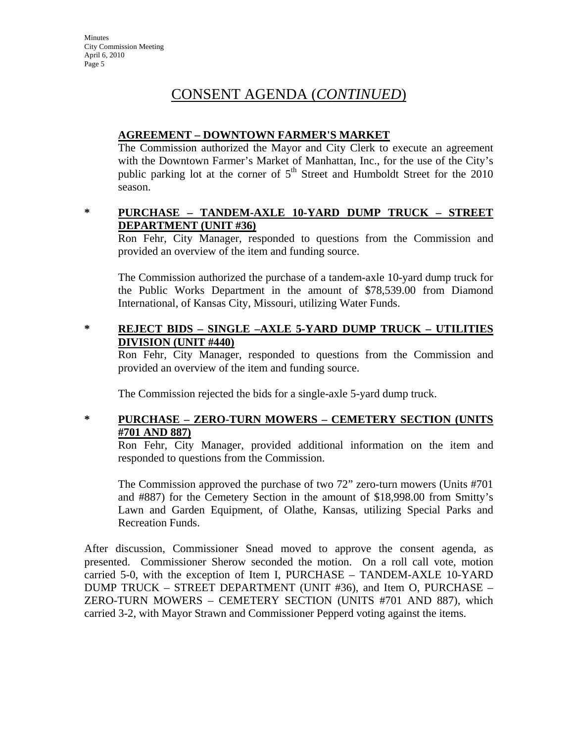# CONSENT AGENDA (*CONTINUED*)

### **AGREEMENT – DOWNTOWN FARMER'S MARKET**

The Commission authorized the Mayor and City Clerk to execute an agreement with the Downtown Farmer's Market of Manhattan, Inc., for the use of the City's public parking lot at the corner of  $5<sup>th</sup>$  Street and Humboldt Street for the 2010 season.

### **\* PURCHASE – TANDEM-AXLE 10-YARD DUMP TRUCK – STREET DEPARTMENT (UNIT #36)**

Ron Fehr, City Manager, responded to questions from the Commission and provided an overview of the item and funding source.

The Commission authorized the purchase of a tandem-axle 10-yard dump truck for the Public Works Department in the amount of \$78,539.00 from Diamond International, of Kansas City, Missouri, utilizing Water Funds.

### **\* REJECT BIDS – SINGLE –AXLE 5-YARD DUMP TRUCK – UTILITIES DIVISION (UNIT #440)**

Ron Fehr, City Manager, responded to questions from the Commission and provided an overview of the item and funding source.

The Commission rejected the bids for a single-axle 5-yard dump truck.

### **\* PURCHASE – ZERO-TURN MOWERS – CEMETERY SECTION (UNITS #701 AND 887)**

Ron Fehr, City Manager, provided additional information on the item and responded to questions from the Commission.

The Commission approved the purchase of two 72" zero-turn mowers (Units #701 and #887) for the Cemetery Section in the amount of \$18,998.00 from Smitty's Lawn and Garden Equipment, of Olathe, Kansas, utilizing Special Parks and Recreation Funds.

After discussion, Commissioner Snead moved to approve the consent agenda, as presented. Commissioner Sherow seconded the motion. On a roll call vote, motion carried 5-0, with the exception of Item I, PURCHASE – TANDEM-AXLE 10-YARD DUMP TRUCK – STREET DEPARTMENT (UNIT #36), and Item O, PURCHASE – ZERO-TURN MOWERS – CEMETERY SECTION (UNITS #701 AND 887), which carried 3-2, with Mayor Strawn and Commissioner Pepperd voting against the items.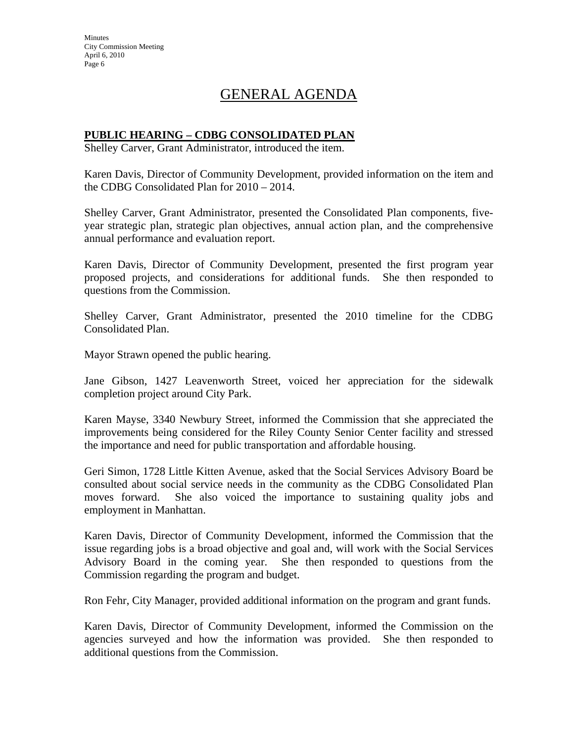**Minutes** City Commission Meeting April 6, 2010 Page 6

# GENERAL AGENDA

#### **PUBLIC HEARING – CDBG CONSOLIDATED PLAN**

Shelley Carver, Grant Administrator, introduced the item.

Karen Davis, Director of Community Development, provided information on the item and the CDBG Consolidated Plan for 2010 – 2014.

Shelley Carver, Grant Administrator, presented the Consolidated Plan components, fiveyear strategic plan, strategic plan objectives, annual action plan, and the comprehensive annual performance and evaluation report.

Karen Davis, Director of Community Development, presented the first program year proposed projects, and considerations for additional funds. She then responded to questions from the Commission.

Shelley Carver, Grant Administrator, presented the 2010 timeline for the CDBG Consolidated Plan.

Mayor Strawn opened the public hearing.

Jane Gibson, 1427 Leavenworth Street, voiced her appreciation for the sidewalk completion project around City Park.

Karen Mayse, 3340 Newbury Street, informed the Commission that she appreciated the improvements being considered for the Riley County Senior Center facility and stressed the importance and need for public transportation and affordable housing.

Geri Simon, 1728 Little Kitten Avenue, asked that the Social Services Advisory Board be consulted about social service needs in the community as the CDBG Consolidated Plan moves forward. She also voiced the importance to sustaining quality jobs and employment in Manhattan.

Karen Davis, Director of Community Development, informed the Commission that the issue regarding jobs is a broad objective and goal and, will work with the Social Services Advisory Board in the coming year. She then responded to questions from the Commission regarding the program and budget.

Ron Fehr, City Manager, provided additional information on the program and grant funds.

Karen Davis, Director of Community Development, informed the Commission on the agencies surveyed and how the information was provided. She then responded to additional questions from the Commission.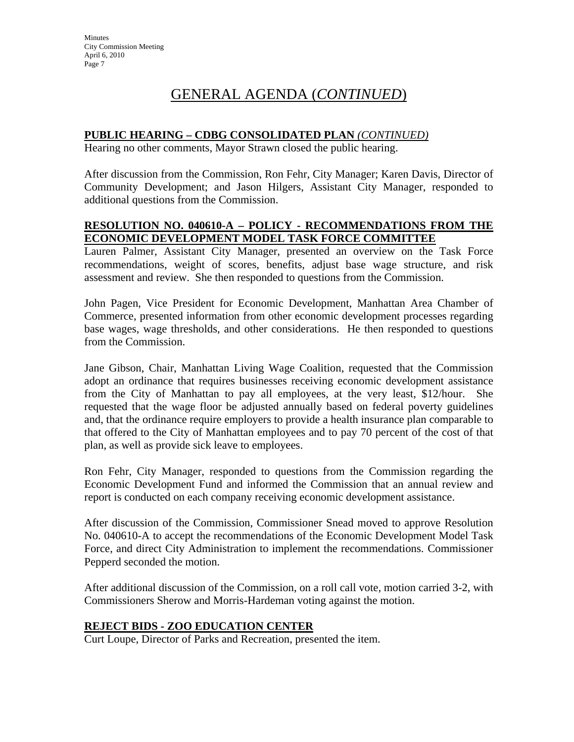# GENERAL AGENDA (*CONTINUED*)

### **PUBLIC HEARING – CDBG CONSOLIDATED PLAN** *(CONTINUED)*

Hearing no other comments, Mayor Strawn closed the public hearing.

After discussion from the Commission, Ron Fehr, City Manager; Karen Davis, Director of Community Development; and Jason Hilgers, Assistant City Manager, responded to additional questions from the Commission.

### **RESOLUTION NO. 040610-A – POLICY - RECOMMENDATIONS FROM THE ECONOMIC DEVELOPMENT MODEL TASK FORCE COMMITTEE**

Lauren Palmer, Assistant City Manager, presented an overview on the Task Force recommendations, weight of scores, benefits, adjust base wage structure, and risk assessment and review. She then responded to questions from the Commission.

John Pagen, Vice President for Economic Development, Manhattan Area Chamber of Commerce, presented information from other economic development processes regarding base wages, wage thresholds, and other considerations. He then responded to questions from the Commission.

Jane Gibson, Chair, Manhattan Living Wage Coalition, requested that the Commission adopt an ordinance that requires businesses receiving economic development assistance from the City of Manhattan to pay all employees, at the very least, \$12/hour. She requested that the wage floor be adjusted annually based on federal poverty guidelines and, that the ordinance require employers to provide a health insurance plan comparable to that offered to the City of Manhattan employees and to pay 70 percent of the cost of that plan, as well as provide sick leave to employees.

Ron Fehr, City Manager, responded to questions from the Commission regarding the Economic Development Fund and informed the Commission that an annual review and report is conducted on each company receiving economic development assistance.

After discussion of the Commission, Commissioner Snead moved to approve Resolution No. 040610-A to accept the recommendations of the Economic Development Model Task Force, and direct City Administration to implement the recommendations. Commissioner Pepperd seconded the motion.

After additional discussion of the Commission, on a roll call vote, motion carried 3-2, with Commissioners Sherow and Morris-Hardeman voting against the motion.

### **REJECT BIDS - ZOO EDUCATION CENTER**

Curt Loupe, Director of Parks and Recreation, presented the item.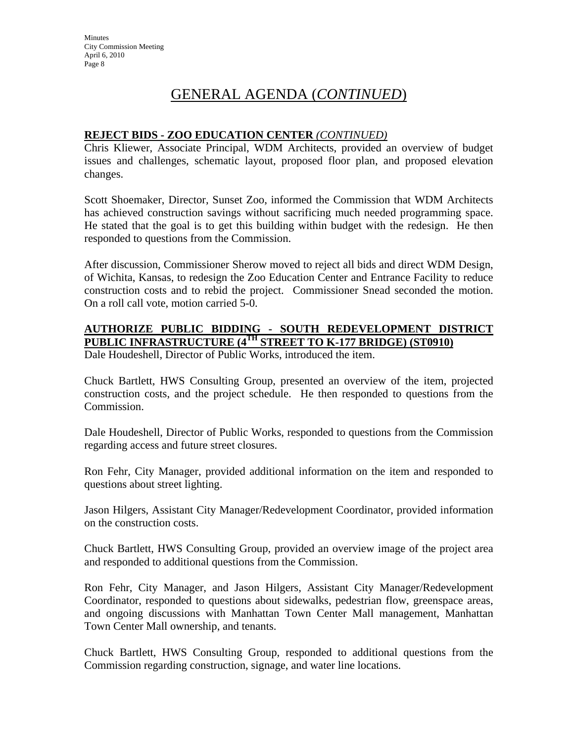# GENERAL AGENDA (*CONTINUED*)

### **REJECT BIDS - ZOO EDUCATION CENTER** *(CONTINUED)*

Chris Kliewer, Associate Principal, WDM Architects, provided an overview of budget issues and challenges, schematic layout, proposed floor plan, and proposed elevation changes.

Scott Shoemaker, Director, Sunset Zoo, informed the Commission that WDM Architects has achieved construction savings without sacrificing much needed programming space. He stated that the goal is to get this building within budget with the redesign. He then responded to questions from the Commission.

After discussion, Commissioner Sherow moved to reject all bids and direct WDM Design, of Wichita, Kansas, to redesign the Zoo Education Center and Entrance Facility to reduce construction costs and to rebid the project. Commissioner Snead seconded the motion. On a roll call vote, motion carried 5-0.

### **AUTHORIZE PUBLIC BIDDING - SOUTH REDEVELOPMENT DISTRICT PUBLIC INFRASTRUCTURE (4TH STREET TO K-177 BRIDGE) (ST0910)**

Dale Houdeshell, Director of Public Works, introduced the item.

Chuck Bartlett, HWS Consulting Group, presented an overview of the item, projected construction costs, and the project schedule. He then responded to questions from the Commission.

Dale Houdeshell, Director of Public Works, responded to questions from the Commission regarding access and future street closures.

Ron Fehr, City Manager, provided additional information on the item and responded to questions about street lighting.

Jason Hilgers, Assistant City Manager/Redevelopment Coordinator, provided information on the construction costs.

Chuck Bartlett, HWS Consulting Group, provided an overview image of the project area and responded to additional questions from the Commission.

Ron Fehr, City Manager, and Jason Hilgers, Assistant City Manager/Redevelopment Coordinator, responded to questions about sidewalks, pedestrian flow, greenspace areas, and ongoing discussions with Manhattan Town Center Mall management, Manhattan Town Center Mall ownership, and tenants.

Chuck Bartlett, HWS Consulting Group, responded to additional questions from the Commission regarding construction, signage, and water line locations.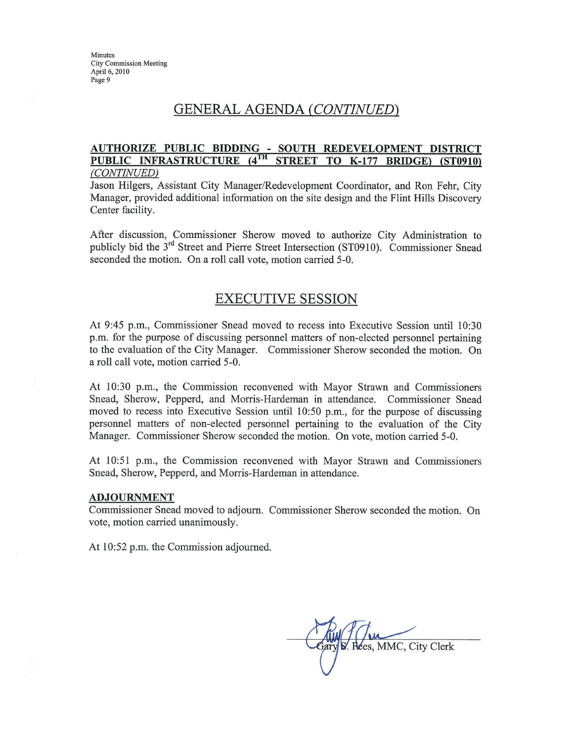### GENERAL AGENDA (CONTINUED)

#### AUTHORIZE PUBLIC BIDDING - SOUTH REDEVELOPMENT DISTRICT PUBLIC INFRASTRUCTURE (4TH STREET TO K-177 BRIDGE) (ST0910) (CONTINUED)

Jason Hilgers, Assistant City Manager/Redevelopment Coordinator, and Ron Fehr, City Manager, provided additional information on the site design and the Flint Hills Discovery Center facility.

After discussion, Commissioner Sherow moved to authorize City Administration to publicly bid the 3<sup>rd</sup> Street and Pierre Street Intersection (ST0910). Commissioner Snead seconded the motion. On a roll call vote, motion carried 5-0.

### **EXECUTIVE SESSION**

At 9:45 p.m., Commissioner Snead moved to recess into Executive Session until 10:30 p.m. for the purpose of discussing personnel matters of non-elected personnel pertaining to the evaluation of the City Manager. Commissioner Sherow seconded the motion. On a roll call vote, motion carried 5-0.

At 10:30 p.m., the Commission reconvened with Mayor Strawn and Commissioners Snead, Sherow, Pepperd, and Morris-Hardeman in attendance. Commissioner Snead moved to recess into Executive Session until 10:50 p.m., for the purpose of discussing personnel matters of non-elected personnel pertaining to the evaluation of the City Manager. Commissioner Sherow seconded the motion. On vote, motion carried 5-0.

At 10:51 p.m., the Commission reconvened with Mayor Strawn and Commissioners Snead, Sherow, Pepperd, and Morris-Hardeman in attendance.

#### **ADJOURNMENT**

Commissioner Snead moved to adjourn. Commissioner Sherow seconded the motion. On vote, motion carried unanimously.

At 10:52 p.m. the Commission adjourned.

Rees, MMC, City Clerk